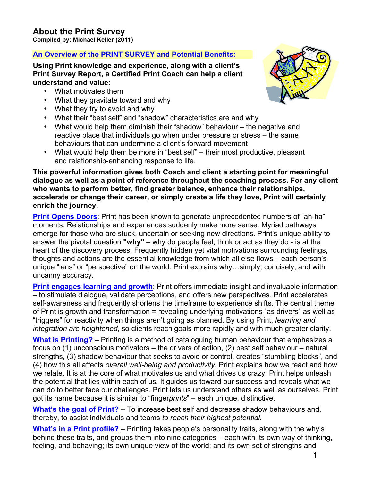## **An Overview of the PRINT SURVEY and Potential Benefits:**

**Using Print knowledge and experience, along with a client's Print Survey Report, a Certified Print Coach can help a client understand and value:**

- What motivates them
- What they gravitate toward and why
- What they try to avoid and why
- What their "best self" and "shadow" characteristics are and why
- What would help them diminish their "shadow" behaviour the negative and reactive place that individuals go when under pressure or stress – the same behaviours that can undermine a client's forward movement
- What would help them be more in "best self" their most productive, pleasant and relationship-enhancing response to life.

**This powerful information gives both Coach and client a starting point for meaningful dialogue as well as a point of reference throughout the coaching process. For any client who wants to perform better, find greater balance, enhance their relationships, accelerate or change their career, or simply create a life they love, Print will certainly enrich the journey.**

**Print Opens Doors**: Print has been known to generate unprecedented numbers of "ah-ha" moments. Relationships and experiences suddenly make more sense. Myriad pathways emerge for those who are stuck, uncertain or seeking new directions. Print's unique ability to answer the pivotal question **"why"** – why do people feel, think or act as they do - is at the heart of the discovery process. Frequently hidden yet vital motivations surrounding feelings, thoughts and actions are the essential knowledge from which all else flows – each person's unique "lens" or "perspective" on the world. Print explains why…simply, concisely, and with uncanny accuracy.

**Print engages learning and growth**: Print offers immediate insight and invaluable information – to stimulate dialogue, validate perceptions, and offers new perspectives. Print accelerates self-awareness and frequently shortens the timeframe to experience shifts. The central theme of Print is growth and transformation = revealing underlying motivations "as drivers" as well as "triggers" for reactivity when things aren't going as planned. By using Print, *learning and integration are heightened*, so clients reach goals more rapidly and with much greater clarity.

**What is Printing?** – Printing is a method of cataloguing human behaviour that emphasizes a focus on (1) unconscious motivators – the drivers of action, (2) best self behaviour – natural strengths, (3) shadow behaviour that seeks to avoid or control, creates "stumbling blocks", and (4) how this all affects *overall well-being and productivity*. Print explains how we react and how we relate. It is at the core of what motivates us and what drives us crazy. Print helps unleash the potential that lies within each of us. It guides us toward our success and reveals what we can do to better face our challenges. Print lets us understand others as well as ourselves. Print got its name because it is similar to "finger*prints*" – each unique, distinctive.

**What's the goal of Print?** – To increase best self and decrease shadow behaviours and, thereby, to assist individuals and teams *to reach their highest potential*.

**What's in a Print profile?** – Printing takes people's personality traits, along with the why's behind these traits, and groups them into nine categories – each with its own way of thinking, feeling, and behaving; its own unique view of the world; and its own set of strengths and